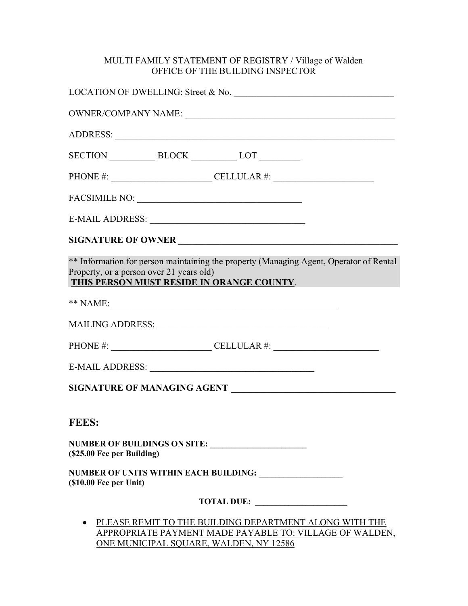## MULTI FAMILY STATEMENT OF REGISTRY / Village of Walden OFFICE OF THE BUILDING INSPECTOR

|                                          | LOCATION OF DWELLING: Street & No.                                                                                                                          |  |
|------------------------------------------|-------------------------------------------------------------------------------------------------------------------------------------------------------------|--|
|                                          |                                                                                                                                                             |  |
|                                          |                                                                                                                                                             |  |
|                                          | SECTION BLOCK LOT                                                                                                                                           |  |
|                                          | PHONE #: $\_\_\_\_\_\_\_\_\_\_$ CELLULAR #: $\_\_\_\_\_\_\_\_\_\_\_$                                                                                        |  |
|                                          |                                                                                                                                                             |  |
|                                          |                                                                                                                                                             |  |
|                                          | SIGNATURE OF OWNER                                                                                                                                          |  |
| Property, or a person over 21 years old) | ** Information for person maintaining the property (Managing Agent, Operator of Rental<br>THIS PERSON MUST RESIDE IN ORANGE COUNTY.                         |  |
|                                          |                                                                                                                                                             |  |
|                                          |                                                                                                                                                             |  |
|                                          | PHONE #: $\_\_\_\_\_\_\_\_\_\_\_\_\_\_\_\_\_\_\_\_\_\_$                                                                                                     |  |
|                                          |                                                                                                                                                             |  |
|                                          | SIGNATURE OF MANAGING AGENT                                                                                                                                 |  |
| <b>FEES:</b>                             |                                                                                                                                                             |  |
| (\$25.00 Fee per Building)               | NUMBER OF BUILDINGS ON SITE:                                                                                                                                |  |
| $($ \$10.00 Fee per Unit $)$             | NUMBER OF UNITS WITHIN EACH BUILDING: University of the UNITS WITHIN EACH BUILDING:                                                                         |  |
|                                          | TOTAL DUE:                                                                                                                                                  |  |
|                                          | PLEASE REMIT TO THE BUILDING DEPARTMENT ALONG WITH THE<br>APPROPRIATE PAYMENT MADE PAYABLE TO: VILLAGE OF WALDEN,<br>ONE MUNICIPAL SQUARE, WALDEN, NY 12586 |  |